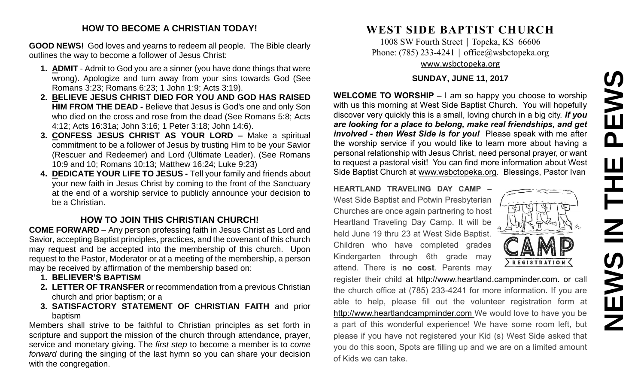# **NEWS IN THE PEWS**EWS  $\overline{\mathbf{a}}$ Ш 즌  $\mathbf{Z}$ **SAME**

#### **HOW TO BECOME A CHRISTIAN TODAY!**

**GOOD NEWS!** God loves and yearns to redeem all people. The Bible clearly outlines the way to become a follower of Jesus Christ:

- **1. ADMIT** Admit to God you are a sinner (you have done things that were wrong). Apologize and turn away from your sins towards God (See Romans 3:23; Romans 6:23; 1 John 1:9; Acts 3:19).
- **2. BELIEVE JESUS CHRIST DIED FOR YOU AND GOD HAS RAISED HIM FROM THE DEAD -** Believe that Jesus is God's one and only Son who died on the cross and rose from the dead (See Romans 5:8; Acts 4:12; Acts 16:31a; John 3:16; 1 Peter 3:18; John 14:6).
- **3. CONFESS JESUS CHRIST AS YOUR LORD –** Make a spiritual commitment to be a follower of Jesus by trusting Him to be your Savior (Rescuer and Redeemer) and Lord (Ultimate Leader). (See Romans 10:9 and 10; Romans 10:13; Matthew 16:24; Luke 9:23)
- **4. DEDICATE YOUR LIFE TO JESUS -** Tell your family and friends about your new faith in Jesus Christ by coming to the front of the Sanctuary at the end of a worship service to publicly announce your decision to be a Christian.

### **HOW TO JOIN THIS CHRISTIAN CHURCH!**

**COME FORWARD** – Any person professing faith in Jesus Christ as Lord and Savior, accepting Baptist principles, practices, and the covenant of this church may request and be accepted into the membership of this church. Upon request to the Pastor, Moderator or at a meeting of the membership, a person may be received by affirmation of the membership based on:

- **1. BELIEVER'S BAPTISM**
- **2. LETTER OF TRANSFER** or recommendation from a previous Christian church and prior baptism; or a
- **3. SATISFACTORY STATEMENT OF CHRISTIAN FAITH** and prior baptism

Members shall strive to be faithful to Christian principles as set forth in scripture and support the mission of the church through attendance, prayer, service and monetary giving. The *first step* to become a member is to *come forward* during the singing of the last hymn so you can share your decision with the congregation.

# **WEST SIDE BAPTIST CHURCH**

1008 SW Fourth Street | Topeka, KS 66606 Phone: (785) 233-4241 | [office@wsbctopeka.org](mailto:office@wsbctopeka.org) [www.wsbctopeka.org](http://www.wsbctopeka.org/)

#### **SUNDAY, JUNE 11, 2017**

**WELCOME TO WORSHIP –** I am so happy you choose to worship with us this morning at West Side Baptist Church. You will hopefully discover very quickly this is a small, loving church in a big city. *If you are looking for a place to belong, make real friendships, and get involved - then West Side is for you!* Please speak with me after the worship service if you would like to learn more about having a personal relationship with Jesus Christ, need personal prayer, or want to request a pastoral visit! You can find more information about West Side Baptist Church at [www.wsbctopeka.org.](http://www.wsbctopeka.org/) Blessings, Pastor Ivan

**HEARTLAND TRAVELING DAY CAMP** – West Side Baptist and Potwin Presbyterian Churches are once again partnering to host Heartland Traveling Day Camp. It will be held June 19 thru 23 at West Side Baptist. Children who have completed grades Kindergarten through 6th grade may attend. There is **no cost**. Parents may



register their child at http://www.heartland.campminder.com. or call the church office at (785) 233-4241 for more information. If you are able to help, please fill out the volunteer registration form at [http://www.heartlandcampminder.com](http://www.heartlandcampminder.com/) We would love to have you be a part of this wonderful experience! We have some room left, but please if you have not registered your Kid (s) West Side asked that you do this soon, Spots are filling up and we are on a limited amount of Kids we can take.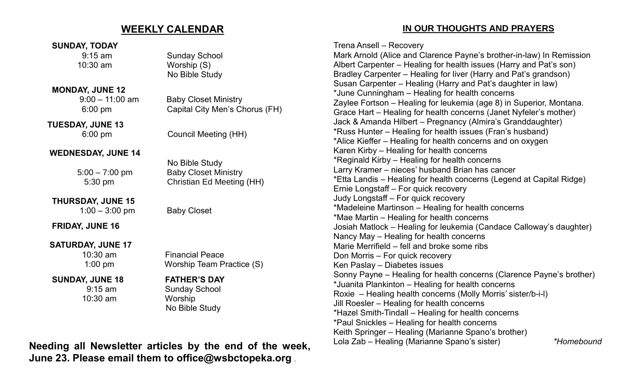## **WEEKLY CALENDAR**

#### **SUNDAY, TODAY**

#### **MONDAY, JUNE 12**

 **TUESDAY, JUNE 13**

#### **WEDNESDAY, JUNE 14**

**THURSDAY, JUNE 15** 1:00 – 3:00 pm Baby Closet

**FRIDAY, JUNE 16**

**SATURDAY, JUNE 17**

 **SUNDAY, JUNE 18 FATHER'S DAY**

10:30 am Worship

9:15 am Sunday School 10:30 am Worship (S) No Bible Study

 9:00 – 11:00 am Baby Closet Ministry 6:00 pm Capital City Men's Chorus (FH)

6:00 pm Council Meeting (HH)

No Bible Study 5:00 – 7:00 pm Baby Closet Ministry 5:30 pm Christian Ed Meeting (HH)

 10:30 am Financial Peace 1:00 pm Worship Team Practice (S)

 9:15 am Sunday School No Bible Study

**Needing all Newsletter articles by the end of the week, June 23. Please email them to office@wsbctopeka.org .** 

### **IN OUR THOUGHTS AND PRAYERS**

Trena Ansell – Recovery

Mark Arnold (Alice and Clarence Payne's brother-in-law) In Remission Albert Carpenter – Healing for health issues (Harry and Pat's son) Bradley Carpenter – Healing for liver (Harry and Pat's grandson) Susan Carpenter – Healing (Harry and Pat's daughter in law) \*June Cunningham – Healing for health concerns Zaylee Fortson – Healing for leukemia (age 8) in Superior, Montana. Grace Hart – Healing for health concerns (Janet Nyfeler's mother) Jack & Amanda Hilbert – Pregnancy (Almira's Granddaughter) \*Russ Hunter – Healing for health issues (Fran's husband) \*Alice Kieffer – Healing for health concerns and on oxygen Karen Kirby – Healing for health concerns \*Reginald Kirby – Healing for health concerns Larry Kramer – nieces' husband Brian has cancer \*Etta Landis – Healing for health concerns (Legend at Capital Ridge) Ernie Longstaff – For quick recovery Judy Longstaff – For quick recovery \*Madeleine Martinson – Healing for health concerns \*Mae Martin – Healing for health concerns Josiah Matlock – Healing for leukemia (Candace Calloway's daughter) Nancy May – Healing for health concerns Marie Merrifield – fell and broke some ribs Don Morris – For quick recovery Ken Paslay – Diabetes issues Sonny Payne – Healing for health concerns (Clarence Payne's brother) \*Juanita Plankinton – Healing for health concerns Roxie – Healing health concerns (Molly Morris' sister/b-i-l) Jill Roesler – Healing for health concerns \*Hazel Smith-Tindall – Healing for health concerns \*Paul Snickles – Healing for health concerns Keith Springer – Healing (Marianne Spano's brother) Lola Zab – Healing (Marianne Spano's sister) *\*Homebound*